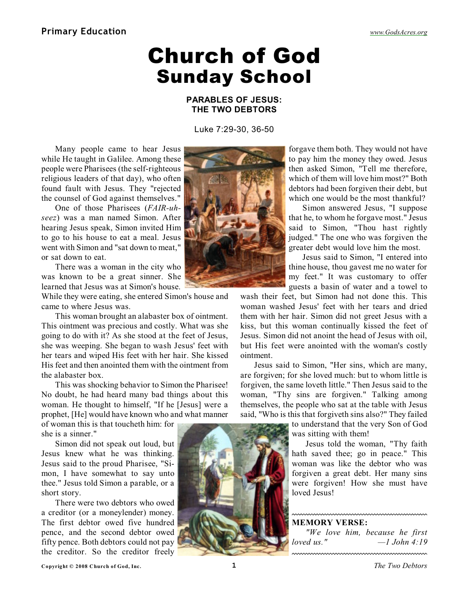# Church of God Sunday School

### **PARABLES OF JESUS: THE TWO DEBTORS**

Luke 7:29-30, 36-50

Many people came to hear Jesus while He taught in Galilee. Among these people were Pharisees (the self-righteous religious leaders of that day), who often found fault with Jesus. They "rejected the counsel of God against themselves."

One of those Pharisees (*FAIR-uhseez*) was a man named Simon. After hearing Jesus speak, Simon invited Him to go to his house to eat a meal. Jesus went with Simon and "sat down to meat," or sat down to eat.

There was a woman in the city who was known to be a great sinner. She learned that Jesus was at Simon's house.

While they were eating, she entered Simon's house and came to where Jesus was.

This woman brought an alabaster box of ointment. This ointment was precious and costly. What was she going to do with it? As she stood at the feet of Jesus, she was weeping. She began to wash Jesus' feet with her tears and wiped His feet with her hair. She kissed His feet and then anointed them with the ointment from the alabaster box.

This was shocking behavior to Simon the Pharisee! No doubt, he had heard many bad things about this woman. He thought to himself, "If he [Jesus] were a prophet, [He] would have known who and what manner

of woman this is that toucheth him: for she is a sinner."

Simon did not speak out loud, but Jesus knew what he was thinking. Jesus said to the proud Pharisee, "Simon, I have somewhat to say unto thee." Jesus told Simon a parable, or a short story.

There were two debtors who owed a creditor (or a moneylender) money. The first debtor owed five hundred pence, and the second debtor owed fifty pence. Both debtors could not pay the creditor. So the creditor freely



forgave them both. They would not have to pay him the money they owed. Jesus then asked Simon, "Tell me therefore, which of them will love him most?" Both debtors had been forgiven their debt, but which one would be the most thankful?

Simon answered Jesus, "I suppose that he, to whom he forgave most." Jesus said to Simon, "Thou hast rightly judged." The one who was forgiven the greater debt would love him the most.

Jesus said to Simon, "I entered into thine house, thou gavest me no water for my feet." It was customary to offer guests a basin of water and a towel to

wash their feet, but Simon had not done this. This woman washed Jesus' feet with her tears and dried them with her hair. Simon did not greet Jesus with a kiss, but this woman continually kissed the feet of Jesus. Simon did not anoint the head of Jesus with oil, but His feet were anointed with the woman's costly ointment.

Jesus said to Simon, "Her sins, which are many, are forgiven; for she loved much: but to whom little is forgiven, the same loveth little." Then Jesus said to the woman, "Thy sins are forgiven." Talking among themselves, the people who sat at the table with Jesus said, "Who is this that forgiveth sins also?" They failed

> to understand that the very Son of God was sitting with them!

Jesus told the woman, "Thy faith hath saved thee; go in peace." This woman was like the debtor who was forgiven a great debt. Her many sins were forgiven! How she must have loved Jesus!

#### **MEMORY VERSE:**

*"We love him, because he first loved us." —1 John 4:19*



**Copyright © 2008 Church of God, Inc. 1** *The Two Debtors*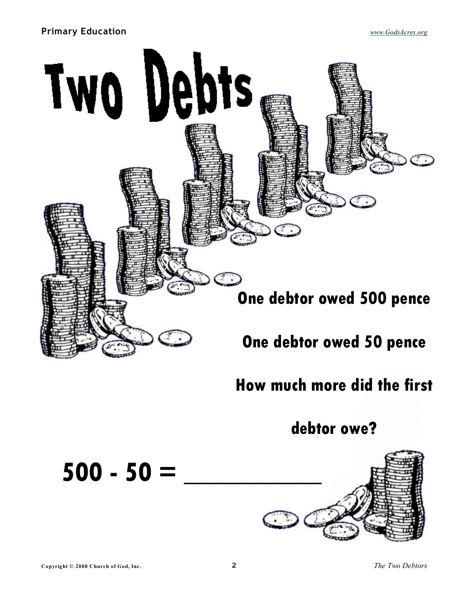## **Primary Education** *[www.GodsAcres.org](http://godsacres.org)*



## **How much more did the first**

**debtor owe?**



**500 - 50 = \_\_\_\_\_\_\_\_\_\_**